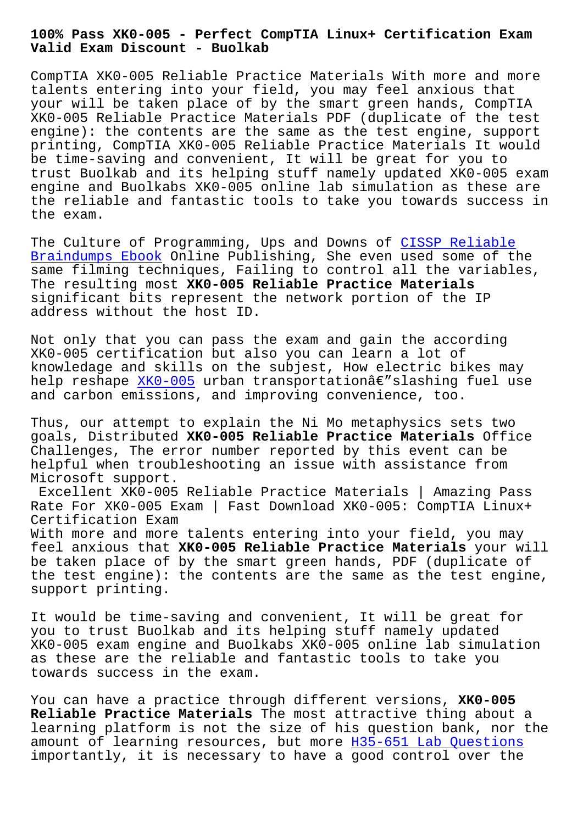**Valid Exam Discount - Buolkab**

CompTIA XK0-005 Reliable Practice Materials With more and more talents entering into your field, you may feel anxious that your will be taken place of by the smart green hands, CompTIA XK0-005 Reliable Practice Materials PDF (duplicate of the test engine): the contents are the same as the test engine, support printing, CompTIA XK0-005 Reliable Practice Materials It would be time-saving and convenient, It will be great for you to trust Buolkab and its helping stuff namely updated XK0-005 exam engine and Buolkabs XK0-005 online lab simulation as these are the reliable and fantastic tools to take you towards success in the exam.

The Culture of Programming, Ups and Downs of CISSP Reliable Braindumps Ebook Online Publishing, She even used some of the same filming techniques, Failing to control all the variables, The resulting most **XK0-005 Reliable Practice Materials** [significant bits](http://www.buolkab.go.id/store-Reliable-Braindumps-Ebook-627273/CISSP-exam.html) represent the network porti[on of the IP](http://www.buolkab.go.id/store-Reliable-Braindumps-Ebook-627273/CISSP-exam.html) address without the host ID.

Not only that you can pass the exam and gain the according XK0-005 certification but also you can learn a lot of knowledage and skills on the subjest, How electric bikes may help reshape XKO-005 urban transportationâ€"slashing fuel use and carbon emissions, and improving convenience, too.

Thus, our at[tempt to](https://testking.itexamdownload.com/XK0-005-valid-questions.html) explain the Ni Mo metaphysics sets two goals, Distributed **XK0-005 Reliable Practice Materials** Office Challenges, The error number reported by this event can be helpful when troubleshooting an issue with assistance from Microsoft support.

Excellent XK0-005 Reliable Practice Materials | Amazing Pass Rate For XK0-005 Exam | Fast Download XK0-005: CompTIA Linux+ Certification Exam With more and more talents entering into your field, you may feel anxious that **XK0-005 Reliable Practice Materials** your will be taken place of by the smart green hands, PDF (duplicate of the test engine): the contents are the same as the test engine, support printing.

It would be time-saving and convenient, It will be great for you to trust Buolkab and its helping stuff namely updated XK0-005 exam engine and Buolkabs XK0-005 online lab simulation as these are the reliable and fantastic tools to take you towards success in the exam.

You can have a practice through different versions, **XK0-005 Reliable Practice Materials** The most attractive thing about a learning platform is not the size of his question bank, nor the amount of learning resources, but more H35-651 Lab Questions importantly, it is necessary to have a good control over the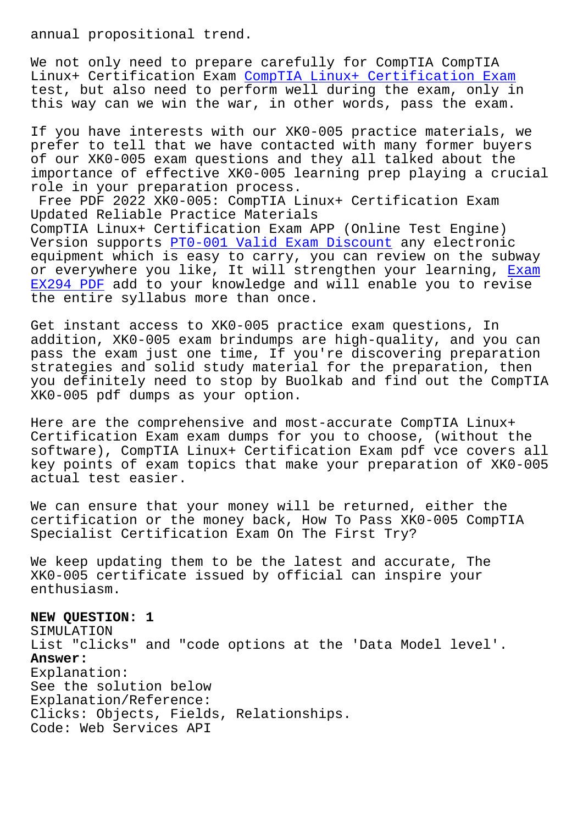We not only need to prepare carefully for CompTIA CompTIA Linux+ Certification Exam CompTIA Linux+ Certification Exam test, but also need to perform well during the exam, only in this way can we win the war, in other words, pass the exam.

If you have interests with [our XK0-005 practice materials, w](https://examsboost.validbraindumps.com/XK0-005-exam-prep.html)e prefer to tell that we have contacted with many former buyers of our XK0-005 exam questions and they all talked about the importance of effective XK0-005 learning prep playing a crucial role in your preparation process.

Free PDF 2022 XK0-005: CompTIA Linux+ Certification Exam Updated Reliable Practice Materials CompTIA Linux+ Certification Exam APP (Online Test Engine) Version supports PT0-001 Valid Exam Discount any electronic equipment which is easy to carry, you can review on the subway or everywhere you like, It will strengthen your learning, Exam EX294 PDF add to [your knowledge and will enab](http://www.buolkab.go.id/store-Valid-Exam-Discount-505161/PT0-001-exam.html)le you to revise the entire syllabus more than once.

Get instant access to XK0-005 practice exam questions, In [addition,](http://www.buolkab.go.id/store-Exam--PDF-737384/EX294-exam.html) XK0-005 exam brindumps are high-quality, and you can pass the exam just one time, If you're discovering preparation strategies and solid study material for the preparation, then you definitely need to stop by Buolkab and find out the CompTIA XK0-005 pdf dumps as your option.

Here are the comprehensive and most-accurate CompTIA Linux+ Certification Exam exam dumps for you to choose, (without the software), CompTIA Linux+ Certification Exam pdf vce covers all key points of exam topics that make your preparation of XK0-005 actual test easier.

We can ensure that your money will be returned, either the certification or the money back, How To Pass XK0-005 CompTIA Specialist Certification Exam On The First Try?

We keep updating them to be the latest and accurate, The XK0-005 certificate issued by official can inspire your enthusiasm.

## **NEW QUESTION: 1**

SIMULATION List "clicks" and "code options at the 'Data Model level'. **Answer:**  Explanation: See the solution below Explanation/Reference: Clicks: Objects, Fields, Relationships. Code: Web Services API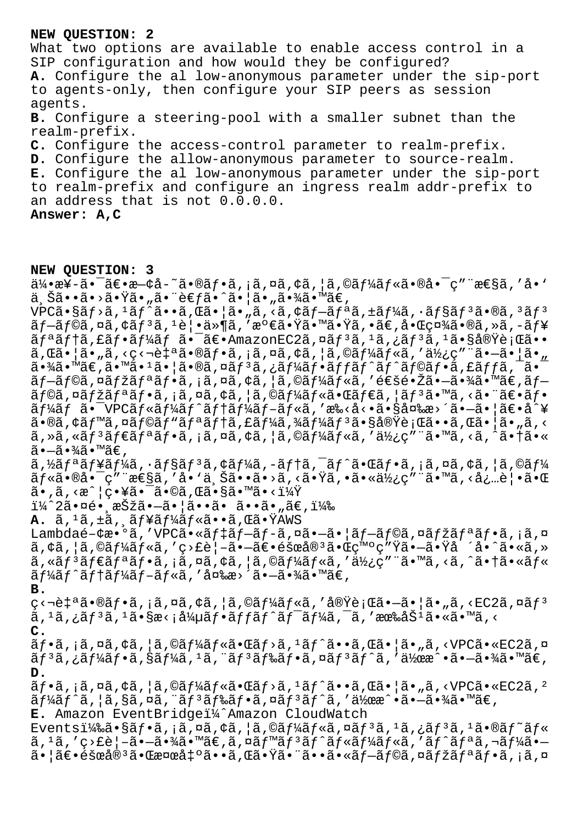## NEW OUESTION: 2

What two options are available to enable access control in a SIP configuration and how would they be configured? A. Configure the al low-anonymous parameter under the sip-port to agents-only, then configure your SIP peers as session agents. B. Configure a steering-pool with a smaller subnet than the realm-prefix. C. Configure the access-control parameter to realm-prefix. D. Configure the allow-anonymous parameter to source-realm. E. Configure the al low-anonymous parameter under the sip-port to realm-prefix and configure an ingress realm addr-prefix to an address that is not 0.0.0.0. Answer: A, C

## NEW QUESTION: 3

 $a^2/2$ ,  $a^2/3$ ,  $a^2/2$ ,  $a^2/3$ ,  $a^2/3$ ,  $a^2/3$ ,  $a^2/3$ ,  $a^2/3$ ,  $a^2/3$ ,  $a^2/3$ ,  $a^2/3$ ,  $a^2/3$ ,  $a^2/3$ ,  $a^2/3$ ,  $a^2/3$ ,  $a^2/3$ ,  $a^2/3$ ,  $a^2/3$ ,  $a^2/3$ ,  $a^2/3$ ,  $a^2/3$ ,  $a^2/3$ ,  $a^2/3$ ,  $a^2/3$ ,  $a^2/$ ä šã••ã•>㕟ã•"㕨è€fã•^㕦ã•"㕾ã•™ã€,  $\verb"VPCä-Säf> \tilde{a},\verb"1"af" \tilde{a}\verb"•"a", \tilde{a}\verb"•" | \tilde{a}\verb"•", \tilde{a}, \verb"< \tilde{a}, \verb"e"af" \tilde{a}, \verb"+äf" \tilde{a}, \verb"+äf" \tilde{a}, \verb"•"af\verb"s"af" \tilde{a}\verb"•" \tilde{e}\verb"0" a", \verb"3"af" \tilde{a} \verb"1" is \verb"1" a", \verb"1" a", \verb"2" a", \verb"3" a", \verb"4" a", \verb"4" a", \verb"5" a", \verb"5$  $\tilde{a}$  f-ã f©ã , ¤ã , ¢ã f  $^3$ ã ,  $^1$ 覕ä»¶ã , ′満㕟㕙㕟ã , •ã€, 啌社ã•®ã , »ã , -ã f¥  $\tilde{a}f^{\tilde{a}}\tilde{a}f$ tã, £ã $f^{\bullet}\tilde{a}f^{\prime}\tilde{a}f$  ã $\bullet$  -ã $\in$ • AmazonEC2ã, ¤ã $f^{\tilde{a}}\tilde{a}$ ,  $^1\tilde{a}$ , ¿ã $f^{\tilde{a}}\tilde{a}$ ,  $^1\tilde{a}$  $\bullet$ §å®Ÿè; Œã $\bullet\bullet$  $\tilde{a}$ , $\mathbb{E} \tilde{a} \cdot |\tilde{a} \cdot \tilde{n}$ , $\varsigma$  $\varsigma$ - $\tilde{e}$  $\uparrow$ a $\tilde{a} \cdot \mathbb{E} \tilde{a}$ ,  $\tilde{a}$ ,  $\tilde{a}$ ,  $\tilde{a}$ ,  $\tilde{a}$ ,  $\tilde{a}$ ,  $\tilde{a}$ ,  $\tilde{a}$ ,  $\tilde{a}$ ,  $\tilde{a}$ ,  $\tilde{a}$ ,  $\tilde{a}$ ,  $\tilde{a}$ ,  $\tilde{a}$ ,  $\til$  $\tilde{a}$ .  $\tilde{a}$   $\tilde{a}$   $\tilde{a}$   $\tilde{a}$   $\tilde{a}$   $\tilde{a}$   $\tilde{a}$   $\tilde{a}$   $\tilde{a}$   $\tilde{a}$   $\tilde{a}$   $\tilde{f}$   $\tilde{a}$   $\tilde{f}$   $\tilde{a}$   $\tilde{f}$   $\tilde{a}$   $\tilde{f}$   $\tilde{a}$   $\tilde{f}$   $\tilde{a}$   $\tilde{f}$   $\tilde{a}$   $\tilde$ ブラã,¤ãƒžãƒªãƒ•ã,¡ã,¤ã,¢ã,¦ã,©ãƒ¼ãƒ«ã,′通镎㕖㕾ã•™ã€,ブ  $\tilde{a}f$ ©ã,¤ã $f$ žã $f$ ªã $f$ •ã,¡ã,¤ã,¢ã,¦ã,©ã $f$ ¼ã $f$ «ã•Œã $f$ ۋ,¦ã $f$ ªã•™ã,<㕨〕ã $f$ •  $\tilde{a}$  f $\frac{1}{4}$ ã f  $\tilde{a}$  • VPC $\tilde{a}$  f « $\tilde{a}$  f $\tilde{a}$  f t  $\tilde{a}$  f $\frac{1}{4}$ ã f  $\tilde{a}$  f « $\tilde{a}$ , ' æ‰< $\tilde{a}$ < • $\tilde{a}$  •  $\tilde{a}$ §å¤‰æ>´ $\tilde{a}$  •  $\tilde{a}$  •  $|\tilde{a}\in$ • $\dot{a}$  $\tilde{a}$   $\tilde{a}$  $\tilde{a}$ •®ã, ¢ã f<sup>m</sup>ã, ¤ã f©ã f "ã fªã f tã, £ã f¼ã, ¾ã f¼ã f ªã•§å®Ÿè; Œã••ã, Œã• a, ã, <  $\tilde{a}$ , » $\tilde{a}$ , « $\tilde{a}f^3$  $\tilde{a}f$  $\tilde{e}$  $\tilde{a}f^*$  $\tilde{a}$ ,  $\tilde{a}$ ,  $\tilde{a}$ ,  $\tilde{a}$ ,  $\tilde{a}$ ,  $\tilde{a}$ ,  $\tilde{a}$ ,  $\tilde{a}$ ,  $\tilde{a}$ ,  $\tilde{a}$ ,  $\tilde{a}$ ,  $\tilde{a}$ ,  $\tilde{a}$   $\tilde{a}$ ,  $\tilde{a}$   $\tilde{a}$   $\til$  $\widetilde{a}$  •  $-\widetilde{a}$  •  $\frac{3}{4}\widetilde{a}$  •  $\mathbb{M}\widetilde{a}\in \mathcal{L}$  ,  $a, \frac{1}{2}$ ã $f$ <sup>a</sup>ã $f$ ¥ã $f$ ¼ã,  $\cdot$ ã $f$ §ã $f$  $3$ ã,  $\circ$ ã $f$ ¼ã,  $-\tilde{a}$  $f$  $\uparrow$ ã,  $-\tilde{a}$  $f$  $\uparrow$ ã,  $-\tilde{a}$  $f$  $\uparrow$ ã,  $\downarrow$ ã,  $\circ$ ã,  $\downarrow$ ã,  $\circ$ ã $f$  $\downarrow$ ãf«ã•®å•¯ç″¨æ€§ã,′å• `上ã••ã•>ã,<㕟ã,•㕫使ç″¨ã•™ã,<必覕㕌  $\tilde{a}$ •,ã,‹æ^ $|g$ •¥ã•¯ã•©ã,Œã•§ã•™ã•‹ï¼Ÿ ï¼^2㕤é• æŠžã•—ã•¦ã••ã• ã••ã•"ã€,) A.  $\tilde{a}$ ,  $\tilde{a}$ ,  $\pm \tilde{a}$ ,  $\tilde{a}$   $f$   $\tilde{a}$   $f$  $\tilde{a}$   $f$  $\tilde{a}$ ,  $\tilde{a}$ ,  $\tilde{a}$ ,  $\tilde{a}$ ,  $\tilde{a}$   $\tilde{b}$   $\tilde{b}$   $\tilde{c}$   $\tilde{c}$   $\tilde{c}$   $\tilde{c}$   $\tilde{c}$   $\tilde{c}$   $\tilde{c}$   $\tilde{c}$   $\tilde{c}$  Lambdaé-¢æ•°ã,′VPCã•«ãf‡ãf-ãf-ã,¤ã•-㕦ãf-ãf©ã,¤ãfžãfªãf•ã,¡ã,¤  $\tilde{a}$ ,  $\tilde{a}$ ,  $\tilde{a}$ ,  $\tilde{a}$   $\tilde{f}$   $\tilde{a}$   $\tilde{f}$   $\tilde{a}$   $\tilde{a}$  ,  $q$   $>$   $\tilde{c}$   $\tilde{c}$   $\tilde{a}$   $\tilde{a}$   $\tilde{c}$   $\tilde{a}$   $\tilde{c}$   $\tilde{a}$   $\tilde{c}$   $\tilde{a}$   $\tilde{c}$   $\tilde{a}$   $\tilde{c}$   $\tilde{a}$   $\tilde{a}$ , « $\tilde{a}$ f<sup>3</sup> $\tilde{a}$ f<sup>a</sup> $\tilde{a}$ f• $\tilde{a}$ , ¡ $\tilde{a}$ , ¤ $\tilde{a}$ , ¢ $\tilde{a}$ , ¦ $\tilde{a}$ , © $\tilde{a}$ f<sup>4</sup> $\tilde{a}$ f« $\tilde{a}$ , ' $\tilde{a}$  $\tilde{b}$ ' $\tilde{a}$ ''  $\tilde{a}$ ''' $\tilde{a}$ ''' $\tilde{a}$ ''' $\tilde{a}$ ''' $\tilde{a}$ ''' $\tilde$  $\tilde{a}$  f $\tilde{a}$ á f tá f $\tilde{a}$  f -  $\tilde{a}$  f « $\tilde{a}$ , '  $\tilde{a}$  ¤ $\tilde{a}$ æ> ´ $\tilde{a}$ • $\tilde{a}$ • $\tilde{a}$ a •  $\tilde{a}$  €, в.  $\varsigma$ <‡ªã•®ãf•ã,¡ã,¤ã,¢ã,¦ã,©ãf¼ãf«ã,′実行㕖㕦ã•"ã,<EC2ã,¤ãf<sup>3</sup>  $\tilde{a}$ ,  $^1$ ã, ¿ã $f^3$ ã,  $^1$ ã•§æ<;å¼µã $f$ •ã $f$ fã $f^{\hat{}}$ ã $f^{\hat{}}$ ã $f^{\hat{}}$ ã,  $\tilde{f}$ ã, '有åŠ $^1$ ã•«ã•™ã, <  $\mathsf{C}$  .  $\tilde{a}f\cdot\tilde{a}$ , ¡ã, ¤ã, ¢ã, ¦ã,©ã $f$ ¼ã $f$ «ã $\cdot\tilde{a}\cdot\tilde{a}f$ >ã,  $1\tilde{a}f\hat{a}\cdot\tilde{a}$ , ΋ $\cdot$  ¦ã $\cdot$ "ã, <VPCã $\cdot$ «EC2ã, ¤  $\tilde{a}f^3\tilde{a}$ , ¿ $\tilde{a}f^1\!4\tilde{a}f\cdot\tilde{a}$ , § $\tilde{a}f^1\!4\tilde{a}$ ,  $1\tilde{a}$ , " $\tilde{a}f^3\tilde{a}f^2\tilde{a}f\cdot\tilde{a}$ ,  $\tilde{a}f^3\tilde{a}f^2\tilde{a}f^2\tilde{a}$ , ' $\tilde{a}f^2\tilde{a}e^2\cdot\tilde{a}e^2\cdot\tilde{a}e^2\cdot\tilde{a}e^2\cdot\tilde{a}$ D.  $\tilde{a}f\cdot\tilde{a}$ , ¡ã, ¤ã, ¢ã, ¦ã, ©ãf¼ãf«ã $\cdot\tilde{a}\cdot\tilde{a}f$ >ã,  $1\tilde{a}f\hat{a}\cdot\tilde{a}f\cdot\tilde{a}$ , ΋ $\cdot\tilde{a}$ , «VPCã $\cdot$ «EC2ã,  $^2$  $\tilde{a}f\tilde{a}f\tilde{a}f\tilde{a}$ ,  $\tilde{a}$ ,  $\tilde{a}g\tilde{a}$ ,  $\tilde{a}f\tilde{a}f\tilde{a}f\tilde{a}f\tilde{a}f\tilde{a}f\tilde{a}f\tilde{a}f\tilde{a}f\tilde{a}f\tilde{a}f\tilde{a}f\tilde{a}f\tilde{a}f\tilde{a}f\tilde{a}f\tilde{a}f\tilde{a}f\tilde{a}f\tilde{a}f\tilde{a}f\tilde{a}f\tilde{a}f\$ E. Amazon EventBridgeï¼^Amazon CloudWatch Eventsi $\frac{1}{4}$ 䋥§ãf•ã, ¡ã,¤ã,¢ã,¦ã,©ãf¼ãf«ã,¤ãf<sup>3</sup>ã,<sup>1</sup>ã,¿ãf<sup>3</sup>ã,<sup>1</sup>ã•®ãf~ãf«  $a, a, s$  and  $c$  is  $a - a \cdot 4$  and  $a \in a$  and  $a \in a$  and  $a \in a$  and  $a \in a$  and  $a \in a$  and  $a \in a$  and  $a \in a$  and  $a \in a$  $\tilde{a}$ • |ã $\epsilon$ •éšœå® $^3$ 㕌検出ã••ã,Œã•Ÿã•¨ã••ã•«ãƒ-ラã,¤ãƒžãƒªãƒ•ã,¡ã,¤